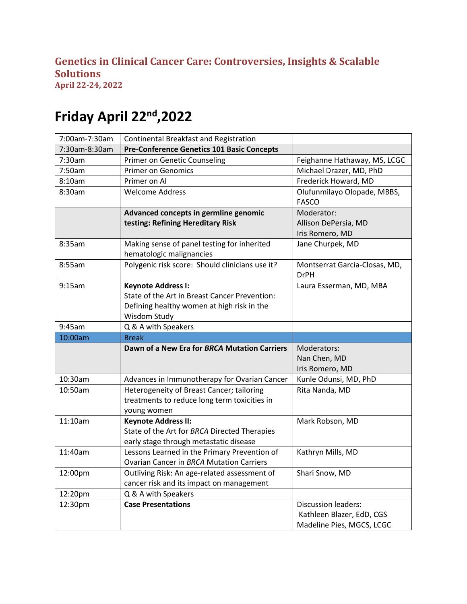## **Genetics in Clinical Cancer Care: Controversies, Insights & Scalable Solutions**

**April 22-24, 2022**

## **Friday April 22nd,2022**

| 7:00am-7:30am | Continental Breakfast and Registration            |                                                        |
|---------------|---------------------------------------------------|--------------------------------------------------------|
| 7:30am-8:30am | <b>Pre-Conference Genetics 101 Basic Concepts</b> |                                                        |
| 7:30am        | Primer on Genetic Counseling                      | Feighanne Hathaway, MS, LCGC                           |
| 7:50am        | <b>Primer on Genomics</b>                         | Michael Drazer, MD, PhD                                |
| 8:10am        | Primer on Al                                      | Frederick Howard, MD                                   |
| 8:30am        | Welcome Address                                   | Olufunmilayo Olopade, MBBS,                            |
|               |                                                   | <b>FASCO</b>                                           |
|               | Advanced concepts in germline genomic             | Moderator:                                             |
|               | testing: Refining Hereditary Risk                 | Allison DePersia, MD                                   |
|               |                                                   | Iris Romero, MD                                        |
| 8:35am        | Making sense of panel testing for inherited       | Jane Churpek, MD                                       |
|               | hematologic malignancies                          |                                                        |
| 8:55am        | Polygenic risk score: Should clinicians use it?   | Montserrat Garcia-Closas, MD,                          |
|               |                                                   | <b>DrPH</b>                                            |
| 9:15am        | <b>Keynote Address I:</b>                         | Laura Esserman, MD, MBA                                |
|               | State of the Art in Breast Cancer Prevention:     |                                                        |
|               | Defining healthy women at high risk in the        |                                                        |
|               | Wisdom Study                                      |                                                        |
| 9:45am        | Q & A with Speakers                               |                                                        |
|               |                                                   |                                                        |
| 10:00am       | <b>Break</b>                                      |                                                        |
|               | Dawn of a New Era for BRCA Mutation Carriers      | Moderators:                                            |
|               |                                                   | Nan Chen, MD                                           |
|               |                                                   | Iris Romero, MD                                        |
| 10:30am       | Advances in Immunotherapy for Ovarian Cancer      | Kunle Odunsi, MD, PhD                                  |
| 10:50am       | Heterogeneity of Breast Cancer; tailoring         | Rita Nanda, MD                                         |
|               | treatments to reduce long term toxicities in      |                                                        |
|               | young women                                       |                                                        |
| 11:10am       | <b>Keynote Address II:</b>                        | Mark Robson, MD                                        |
|               | State of the Art for BRCA Directed Therapies      |                                                        |
|               | early stage through metastatic disease            |                                                        |
| 11:40am       | Lessons Learned in the Primary Prevention of      | Kathryn Mills, MD                                      |
|               | <b>Ovarian Cancer in BRCA Mutation Carriers</b>   |                                                        |
| 12:00pm       | Outliving Risk: An age-related assessment of      | Shari Snow, MD                                         |
|               | cancer risk and its impact on management          |                                                        |
| 12:20pm       | Q & A with Speakers                               |                                                        |
| 12:30pm       | <b>Case Presentations</b>                         | <b>Discussion leaders:</b>                             |
|               |                                                   | Kathleen Blazer, EdD, CGS<br>Madeline Pies, MGCS, LCGC |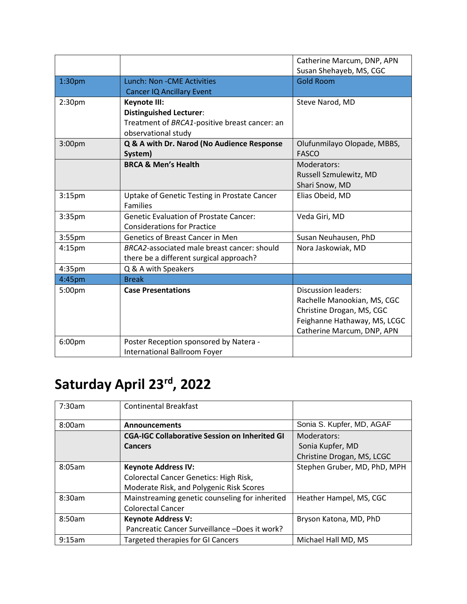|                    |                                               | Catherine Marcum, DNP, APN<br>Susan Shehayeb, MS, CGC |
|--------------------|-----------------------------------------------|-------------------------------------------------------|
| 1:30 <sub>pm</sub> | <b>Lunch: Non - CME Activities</b>            | <b>Gold Room</b>                                      |
|                    | <b>Cancer IQ Ancillary Event</b>              |                                                       |
| 2:30 <sub>pm</sub> | Keynote III:                                  | Steve Narod, MD                                       |
|                    | <b>Distinguished Lecturer:</b>                |                                                       |
|                    | Treatment of BRCA1-positive breast cancer: an |                                                       |
|                    | observational study                           |                                                       |
| 3:00pm             | Q & A with Dr. Narod (No Audience Response    | Olufunmilayo Olopade, MBBS,                           |
|                    | System)                                       | <b>FASCO</b>                                          |
|                    | <b>BRCA &amp; Men's Health</b>                | Moderators:                                           |
|                    |                                               | Russell Szmulewitz, MD                                |
|                    |                                               | Shari Snow, MD                                        |
| 3:15 <sub>pm</sub> | Uptake of Genetic Testing in Prostate Cancer  | Elias Obeid, MD                                       |
|                    | <b>Families</b>                               |                                                       |
| 3:35pm             | <b>Genetic Evaluation of Prostate Cancer:</b> | Veda Giri, MD                                         |
|                    | <b>Considerations for Practice</b>            |                                                       |
| 3:55pm             | <b>Genetics of Breast Cancer in Men</b>       | Susan Neuhausen, PhD                                  |
| $4:15$ pm          | BRCA2-associated male breast cancer: should   | Nora Jaskowiak, MD                                    |
|                    | there be a different surgical approach?       |                                                       |
| 4:35pm             | Q & A with Speakers                           |                                                       |
| 4:45pm             | <b>Break</b>                                  |                                                       |
| 5:00pm             | <b>Case Presentations</b>                     | <b>Discussion leaders:</b>                            |
|                    |                                               | Rachelle Manookian, MS, CGC                           |
|                    |                                               | Christine Drogan, MS, CGC                             |
|                    |                                               | Feighanne Hathaway, MS, LCGC                          |
|                    |                                               | Catherine Marcum, DNP, APN                            |
| 6:00pm             | Poster Reception sponsored by Natera -        |                                                       |
|                    | <b>International Ballroom Foyer</b>           |                                                       |

## **Saturday April 23rd , 2022**

| 7:30am | <b>Continental Breakfast</b>                         |                              |
|--------|------------------------------------------------------|------------------------------|
| 8:00am | <b>Announcements</b>                                 | Sonia S. Kupfer, MD, AGAF    |
|        | <b>CGA-IGC Collaborative Session on Inherited GI</b> | Moderators:                  |
|        | <b>Cancers</b>                                       | Sonia Kupfer, MD             |
|        |                                                      | Christine Drogan, MS, LCGC   |
| 8:05am | <b>Keynote Address IV:</b>                           | Stephen Gruber, MD, PhD, MPH |
|        | <b>Colorectal Cancer Genetics: High Risk,</b>        |                              |
|        | Moderate Risk, and Polygenic Risk Scores             |                              |
| 8:30am | Mainstreaming genetic counseling for inherited       | Heather Hampel, MS, CGC      |
|        | <b>Colorectal Cancer</b>                             |                              |
| 8:50am | <b>Keynote Address V:</b>                            | Bryson Katona, MD, PhD       |
|        | Pancreatic Cancer Surveillance -Does it work?        |                              |
| 9:15am | <b>Targeted therapies for GI Cancers</b>             | Michael Hall MD, MS          |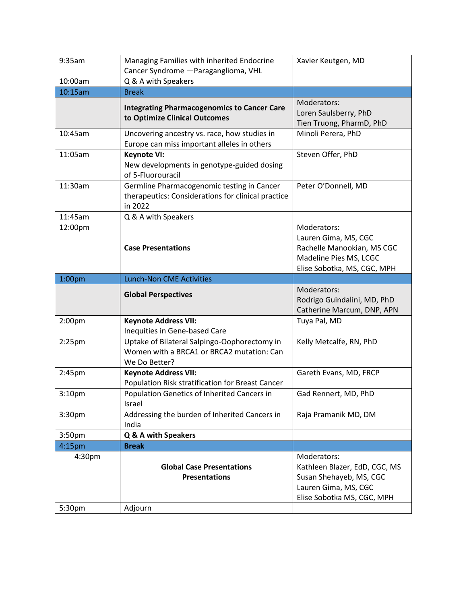| 9:35am             | Managing Families with inherited Endocrine         | Xavier Keutgen, MD            |
|--------------------|----------------------------------------------------|-------------------------------|
|                    | Cancer Syndrome - Paraganglioma, VHL               |                               |
| 10:00am            | Q & A with Speakers                                |                               |
| 10:15am            | <b>Break</b>                                       |                               |
|                    | <b>Integrating Pharmacogenomics to Cancer Care</b> | Moderators:                   |
|                    | to Optimize Clinical Outcomes                      | Loren Saulsberry, PhD         |
|                    |                                                    | Tien Truong, PharmD, PhD      |
| 10:45am            | Uncovering ancestry vs. race, how studies in       | Minoli Perera, PhD            |
|                    | Europe can miss important alleles in others        |                               |
| 11:05am            | <b>Keynote VI:</b>                                 | Steven Offer, PhD             |
|                    | New developments in genotype-guided dosing         |                               |
|                    | of 5-Fluorouracil                                  |                               |
| 11:30am            | Germline Pharmacogenomic testing in Cancer         | Peter O'Donnell, MD           |
|                    | therapeutics: Considerations for clinical practice |                               |
|                    | in 2022                                            |                               |
| 11:45am            | Q & A with Speakers                                |                               |
| 12:00pm            |                                                    | Moderators:                   |
|                    |                                                    | Lauren Gima, MS, CGC          |
|                    | <b>Case Presentations</b>                          | Rachelle Manookian, MS CGC    |
|                    |                                                    | Madeline Pies MS, LCGC        |
|                    |                                                    | Elise Sobotka, MS, CGC, MPH   |
| 1:00 <sub>pm</sub> | <b>Lunch-Non CME Activities</b>                    |                               |
|                    | <b>Global Perspectives</b>                         | Moderators:                   |
|                    |                                                    | Rodrigo Guindalini, MD, PhD   |
|                    |                                                    |                               |
|                    |                                                    | Catherine Marcum, DNP, APN    |
| 2:00pm             | <b>Keynote Address VII:</b>                        | Tuya Pal, MD                  |
|                    | Inequities in Gene-based Care                      |                               |
| $2:25$ pm          | Uptake of Bilateral Salpingo-Oophorectomy in       | Kelly Metcalfe, RN, PhD       |
|                    | Women with a BRCA1 or BRCA2 mutation: Can          |                               |
|                    | We Do Better?                                      |                               |
| 2:45pm             | <b>Keynote Address VII:</b>                        | Gareth Evans, MD, FRCP        |
|                    | Population Risk stratification for Breast Cancer   |                               |
| 3:10 <sub>pm</sub> | Population Genetics of Inherited Cancers in        | Gad Rennert, MD, PhD          |
|                    | Israel                                             |                               |
| 3:30pm             | Addressing the burden of Inherited Cancers in      | Raja Pramanik MD, DM          |
|                    | India                                              |                               |
| 3:50pm             | Q & A with Speakers                                |                               |
| 4:15pm             | <b>Break</b>                                       |                               |
| 4:30pm             |                                                    | Moderators:                   |
|                    | <b>Global Case Presentations</b>                   | Kathleen Blazer, EdD, CGC, MS |
|                    | <b>Presentations</b>                               | Susan Shehayeb, MS, CGC       |
|                    |                                                    | Lauren Gima, MS, CGC          |
|                    |                                                    | Elise Sobotka MS, CGC, MPH    |